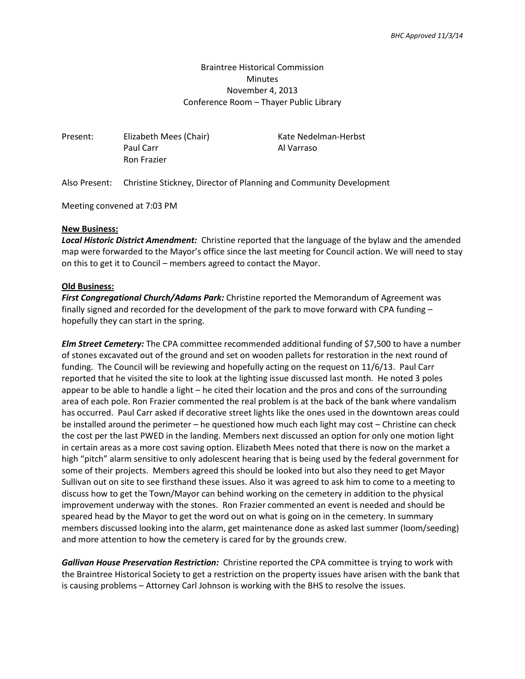# Braintree Historical Commission **Minutes** November 4, 2013 Conference Room – Thayer Public Library

Present: Elizabeth Mees (Chair) Kate Nedelman-Herbst Paul Carr Al Varraso Ron Frazier

Also Present: Christine Stickney, Director of Planning and Community Development

Meeting convened at 7:03 PM

### **New Business:**

*Local Historic District Amendment:* Christine reported that the language of the bylaw and the amended map were forwarded to the Mayor's office since the last meeting for Council action. We will need to stay on this to get it to Council – members agreed to contact the Mayor.

### **Old Business:**

*First Congregational Church/Adams Park:* Christine reported the Memorandum of Agreement was finally signed and recorded for the development of the park to move forward with CPA funding – hopefully they can start in the spring.

*Elm Street Cemetery:* The CPA committee recommended additional funding of \$7,500 to have a number of stones excavated out of the ground and set on wooden pallets for restoration in the next round of funding. The Council will be reviewing and hopefully acting on the request on 11/6/13. Paul Carr reported that he visited the site to look at the lighting issue discussed last month. He noted 3 poles appear to be able to handle a light – he cited their location and the pros and cons of the surrounding area of each pole. Ron Frazier commented the real problem is at the back of the bank where vandalism has occurred. Paul Carr asked if decorative street lights like the ones used in the downtown areas could be installed around the perimeter – he questioned how much each light may cost – Christine can check the cost per the last PWED in the landing. Members next discussed an option for only one motion light in certain areas as a more cost saving option. Elizabeth Mees noted that there is now on the market a high "pitch" alarm sensitive to only adolescent hearing that is being used by the federal government for some of their projects. Members agreed this should be looked into but also they need to get Mayor Sullivan out on site to see firsthand these issues. Also it was agreed to ask him to come to a meeting to discuss how to get the Town/Mayor can behind working on the cemetery in addition to the physical improvement underway with the stones. Ron Frazier commented an event is needed and should be speared head by the Mayor to get the word out on what is going on in the cemetery. In summary members discussed looking into the alarm, get maintenance done as asked last summer (loom/seeding) and more attention to how the cemetery is cared for by the grounds crew.

*Gallivan House Preservation Restriction:* Christine reported the CPA committee is trying to work with the Braintree Historical Society to get a restriction on the property issues have arisen with the bank that is causing problems – Attorney Carl Johnson is working with the BHS to resolve the issues.